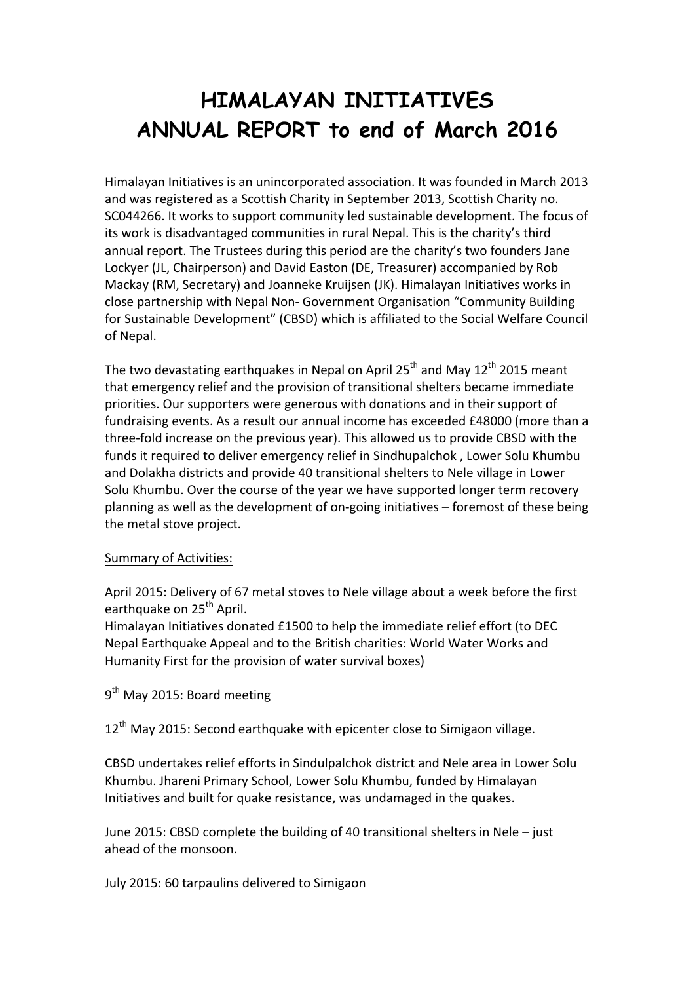## **HIMALAYAN INITIATIVES ANNUAL REPORT to end of March 2016**

Himalayan Initiatives is an unincorporated association. It was founded in March 2013 and was registered as a Scottish Charity in September 2013, Scottish Charity no. SC044266. It works to support community led sustainable development. The focus of its work is disadvantaged communities in rural Nepal. This is the charity's third annual report. The Trustees during this period are the charity's two founders Jane Lockyer (JL, Chairperson) and David Easton (DE, Treasurer) accompanied by Rob Mackay (RM, Secretary) and Joanneke Kruijsen (JK). Himalayan Initiatives works in close partnership with Nepal Non- Government Organisation "Community Building for Sustainable Development" (CBSD) which is affiliated to the Social Welfare Council of Nepal.

The two devastating earthquakes in Nepal on April 25<sup>th</sup> and May 12<sup>th</sup> 2015 meant that emergency relief and the provision of transitional shelters became immediate priorities. Our supporters were generous with donations and in their support of fundraising events. As a result our annual income has exceeded £48000 (more than a three-fold increase on the previous year). This allowed us to provide CBSD with the funds it required to deliver emergency relief in Sindhupalchok, Lower Solu Khumbu and Dolakha districts and provide 40 transitional shelters to Nele village in Lower Solu Khumbu. Over the course of the year we have supported longer term recovery planning as well as the development of on-going initiatives – foremost of these being the metal stove project.

## Summary of Activities:

April 2015: Delivery of 67 metal stoves to Nele village about a week before the first earthquake on 25<sup>th</sup> April.

Himalayan Initiatives donated £1500 to help the immediate relief effort (to DEC Nepal Earthquake Appeal and to the British charities: World Water Works and Humanity First for the provision of water survival boxes)

 $9<sup>th</sup>$  May 2015: Board meeting

 $12<sup>th</sup>$  May 2015: Second earthquake with epicenter close to Simigaon village.

CBSD undertakes relief efforts in Sindulpalchok district and Nele area in Lower Solu Khumbu. Jhareni Primary School, Lower Solu Khumbu, funded by Himalayan Initiatives and built for quake resistance, was undamaged in the quakes.

June 2015: CBSD complete the building of 40 transitional shelters in Nele  $-$  just ahead of the monsoon.

July 2015: 60 tarpaulins delivered to Simigaon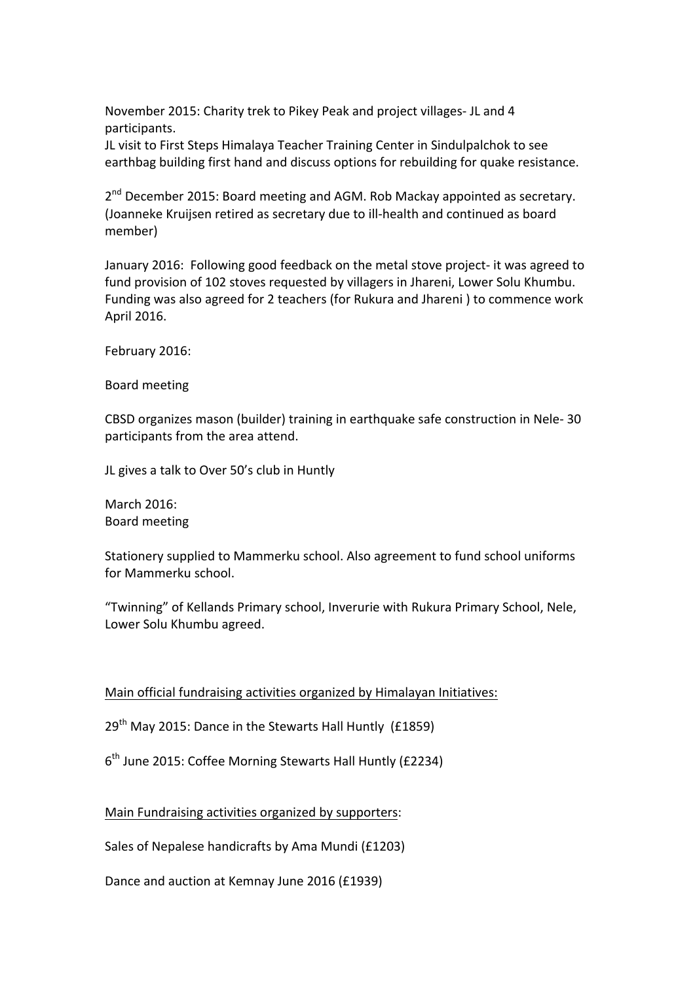November 2015: Charity trek to Pikey Peak and project villages- JL and 4 participants. 

JL visit to First Steps Himalaya Teacher Training Center in Sindulpalchok to see earthbag building first hand and discuss options for rebuilding for quake resistance.

 $2^{nd}$  December 2015: Board meeting and AGM. Rob Mackay appointed as secretary. (Joanneke Kruijsen retired as secretary due to ill-health and continued as board member)

January 2016: Following good feedback on the metal stove project- it was agreed to fund provision of 102 stoves requested by villagers in Jhareni, Lower Solu Khumbu. Funding was also agreed for 2 teachers (for Rukura and Jhareni) to commence work April 2016.

February 2016:

Board meeting

CBSD organizes mason (builder) training in earthquake safe construction in Nele- 30 participants from the area attend.

JL gives a talk to Over 50's club in Huntly

March 2016: Board meeting 

Stationery supplied to Mammerku school. Also agreement to fund school uniforms for Mammerku school.

"Twinning" of Kellands Primary school, Inverurie with Rukura Primary School, Nele, Lower Solu Khumbu agreed.

## Main official fundraising activities organized by Himalayan Initiatives:

 $29<sup>th</sup>$  May 2015: Dance in the Stewarts Hall Huntly (£1859)

 $6<sup>th</sup>$  June 2015: Coffee Morning Stewarts Hall Huntly (£2234)

Main Fundraising activities organized by supporters:

Sales of Nepalese handicrafts by Ama Mundi (£1203)

Dance and auction at Kemnay June 2016 (£1939)